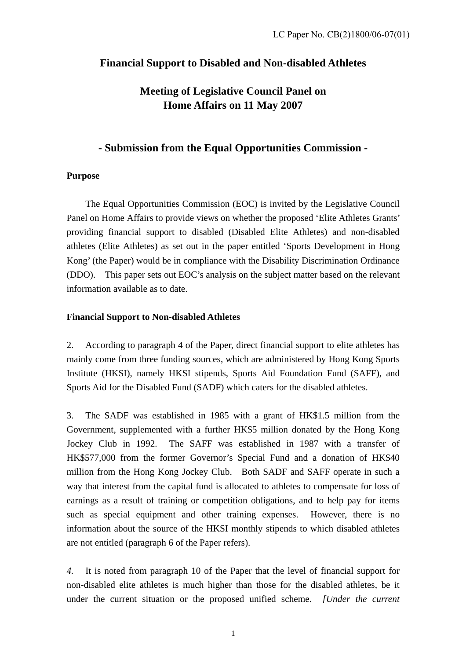## **Financial Support to Disabled and Non-disabled Athletes**

# **Meeting of Legislative Council Panel on Home Affairs on 11 May 2007**

## **- Submission from the Equal Opportunities Commission -**

### **Purpose**

 The Equal Opportunities Commission (EOC) is invited by the Legislative Council Panel on Home Affairs to provide views on whether the proposed 'Elite Athletes Grants' providing financial support to disabled (Disabled Elite Athletes) and non-disabled athletes (Elite Athletes) as set out in the paper entitled 'Sports Development in Hong Kong' (the Paper) would be in compliance with the Disability Discrimination Ordinance (DDO). This paper sets out EOC's analysis on the subject matter based on the relevant information available as to date.

#### **Financial Support to Non-disabled Athletes**

2. According to paragraph 4 of the Paper, direct financial support to elite athletes has mainly come from three funding sources, which are administered by Hong Kong Sports Institute (HKSI), namely HKSI stipends, Sports Aid Foundation Fund (SAFF), and Sports Aid for the Disabled Fund (SADF) which caters for the disabled athletes.

3. The SADF was established in 1985 with a grant of HK\$1.5 million from the Government, supplemented with a further HK\$5 million donated by the Hong Kong Jockey Club in 1992. The SAFF was established in 1987 with a transfer of HK\$577,000 from the former Governor's Special Fund and a donation of HK\$40 million from the Hong Kong Jockey Club. Both SADF and SAFF operate in such a way that interest from the capital fund is allocated to athletes to compensate for loss of earnings as a result of training or competition obligations, and to help pay for items such as special equipment and other training expenses. However, there is no information about the source of the HKSI monthly stipends to which disabled athletes are not entitled (paragraph 6 of the Paper refers).

*4.* It is noted from paragraph 10 of the Paper that the level of financial support for non-disabled elite athletes is much higher than those for the disabled athletes, be it under the current situation or the proposed unified scheme. *[Under the current*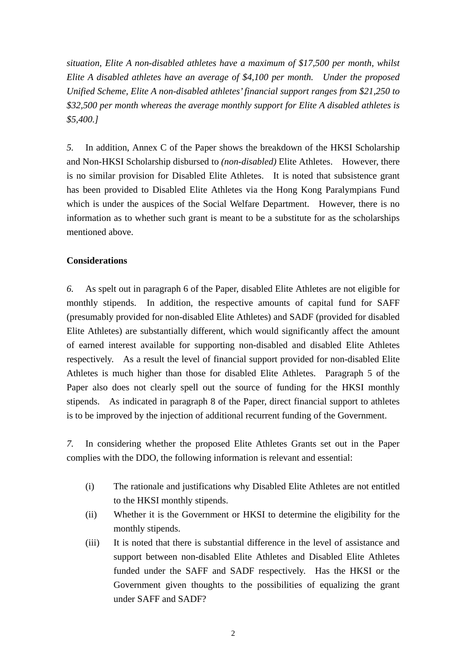*situation, Elite A non-disabled athletes have a maximum of \$17,500 per month, whilst Elite A disabled athletes have an average of \$4,100 per month. Under the proposed Unified Scheme, Elite A non-disabled athletes' financial support ranges from \$21,250 to \$32,500 per month whereas the average monthly support for Elite A disabled athletes is \$5,400.]* 

*5.* In addition, Annex C of the Paper shows the breakdown of the HKSI Scholarship and Non-HKSI Scholarship disbursed to *(non-disabled)* Elite Athletes. However, there is no similar provision for Disabled Elite Athletes. It is noted that subsistence grant has been provided to Disabled Elite Athletes via the Hong Kong Paralympians Fund which is under the auspices of the Social Welfare Department. However, there is no information as to whether such grant is meant to be a substitute for as the scholarships mentioned above.

#### **Considerations**

*6.* As spelt out in paragraph 6 of the Paper, disabled Elite Athletes are not eligible for monthly stipends. In addition, the respective amounts of capital fund for SAFF (presumably provided for non-disabled Elite Athletes) and SADF (provided for disabled Elite Athletes) are substantially different, which would significantly affect the amount of earned interest available for supporting non-disabled and disabled Elite Athletes respectively. As a result the level of financial support provided for non-disabled Elite Athletes is much higher than those for disabled Elite Athletes. Paragraph 5 of the Paper also does not clearly spell out the source of funding for the HKSI monthly stipends. As indicated in paragraph 8 of the Paper, direct financial support to athletes is to be improved by the injection of additional recurrent funding of the Government.

*7.* In considering whether the proposed Elite Athletes Grants set out in the Paper complies with the DDO, the following information is relevant and essential:

- (i) The rationale and justifications why Disabled Elite Athletes are not entitled to the HKSI monthly stipends.
- (ii) Whether it is the Government or HKSI to determine the eligibility for the monthly stipends.
- (iii) It is noted that there is substantial difference in the level of assistance and support between non-disabled Elite Athletes and Disabled Elite Athletes funded under the SAFF and SADF respectively. Has the HKSI or the Government given thoughts to the possibilities of equalizing the grant under SAFF and SADF?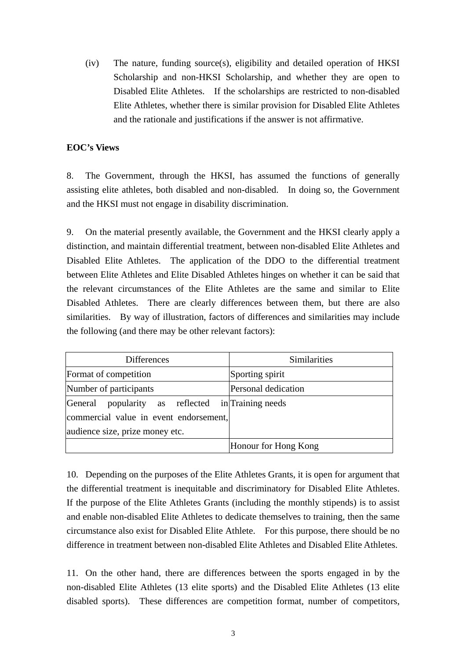(iv) The nature, funding source(s), eligibility and detailed operation of HKSI Scholarship and non-HKSI Scholarship, and whether they are open to Disabled Elite Athletes. If the scholarships are restricted to non-disabled Elite Athletes, whether there is similar provision for Disabled Elite Athletes and the rationale and justifications if the answer is not affirmative.

#### **EOC's Views**

8. The Government, through the HKSI, has assumed the functions of generally assisting elite athletes, both disabled and non-disabled. In doing so, the Government and the HKSI must not engage in disability discrimination.

9. On the material presently available, the Government and the HKSI clearly apply a distinction, and maintain differential treatment, between non-disabled Elite Athletes and Disabled Elite Athletes. The application of the DDO to the differential treatment between Elite Athletes and Elite Disabled Athletes hinges on whether it can be said that the relevant circumstances of the Elite Athletes are the same and similar to Elite Disabled Athletes. There are clearly differences between them, but there are also similarities. By way of illustration, factors of differences and similarities may include the following (and there may be other relevant factors):

| <b>Differences</b>                                | Similarities         |
|---------------------------------------------------|----------------------|
| Format of competition                             | Sporting spirit      |
| Number of participants                            | Personal dedication  |
| General popularity as reflected in Training needs |                      |
| commercial value in event endorsement,            |                      |
| audience size, prize money etc.                   |                      |
|                                                   | Honour for Hong Kong |

10. Depending on the purposes of the Elite Athletes Grants, it is open for argument that the differential treatment is inequitable and discriminatory for Disabled Elite Athletes. If the purpose of the Elite Athletes Grants (including the monthly stipends) is to assist and enable non-disabled Elite Athletes to dedicate themselves to training, then the same circumstance also exist for Disabled Elite Athlete. For this purpose, there should be no difference in treatment between non-disabled Elite Athletes and Disabled Elite Athletes.

11. On the other hand, there are differences between the sports engaged in by the non-disabled Elite Athletes (13 elite sports) and the Disabled Elite Athletes (13 elite disabled sports). These differences are competition format, number of competitors,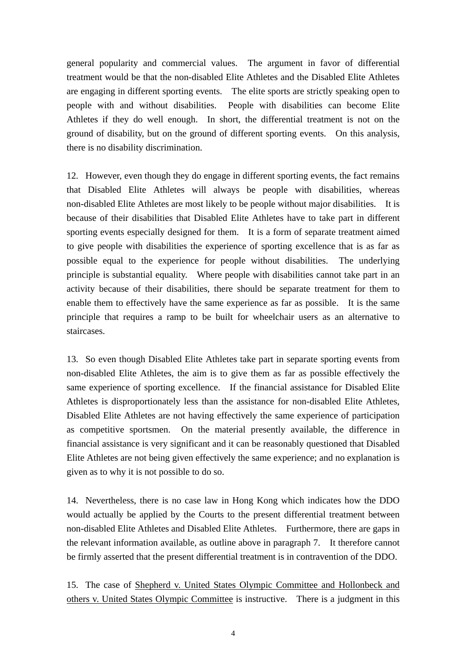general popularity and commercial values. The argument in favor of differential treatment would be that the non-disabled Elite Athletes and the Disabled Elite Athletes are engaging in different sporting events. The elite sports are strictly speaking open to people with and without disabilities. People with disabilities can become Elite Athletes if they do well enough. In short, the differential treatment is not on the ground of disability, but on the ground of different sporting events. On this analysis, there is no disability discrimination.

12. However, even though they do engage in different sporting events, the fact remains that Disabled Elite Athletes will always be people with disabilities, whereas non-disabled Elite Athletes are most likely to be people without major disabilities. It is because of their disabilities that Disabled Elite Athletes have to take part in different sporting events especially designed for them. It is a form of separate treatment aimed to give people with disabilities the experience of sporting excellence that is as far as possible equal to the experience for people without disabilities. The underlying principle is substantial equality. Where people with disabilities cannot take part in an activity because of their disabilities, there should be separate treatment for them to enable them to effectively have the same experience as far as possible. It is the same principle that requires a ramp to be built for wheelchair users as an alternative to staircases.

13. So even though Disabled Elite Athletes take part in separate sporting events from non-disabled Elite Athletes, the aim is to give them as far as possible effectively the same experience of sporting excellence. If the financial assistance for Disabled Elite Athletes is disproportionately less than the assistance for non-disabled Elite Athletes, Disabled Elite Athletes are not having effectively the same experience of participation as competitive sportsmen. On the material presently available, the difference in financial assistance is very significant and it can be reasonably questioned that Disabled Elite Athletes are not being given effectively the same experience; and no explanation is given as to why it is not possible to do so.

14. Nevertheless, there is no case law in Hong Kong which indicates how the DDO would actually be applied by the Courts to the present differential treatment between non-disabled Elite Athletes and Disabled Elite Athletes. Furthermore, there are gaps in the relevant information available, as outline above in paragraph 7. It therefore cannot be firmly asserted that the present differential treatment is in contravention of the DDO.

15. The case of Shepherd v. United States Olympic Committee and Hollonbeck and others v. United States Olympic Committee is instructive. There is a judgment in this